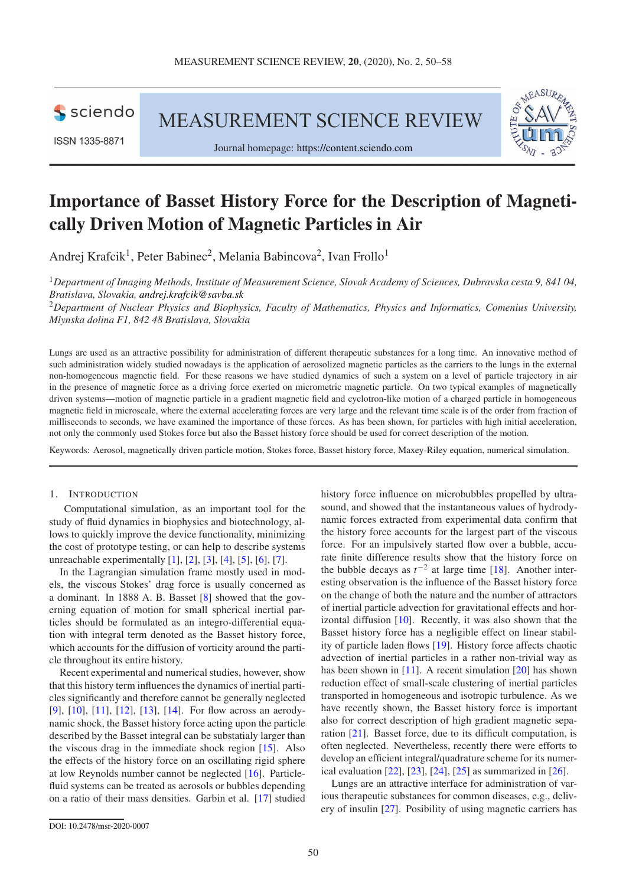

ISSN 1335-8871

MEASUREMENT SCIENCE REVIEW





# Importance of Basset History Force for the Description of Magnetically Driven Motion of Magnetic Particles in Air

Andrej Krafcik<sup>1</sup>, Peter Babinec<sup>2</sup>, Melania Babincova<sup>2</sup>, Ivan Frollo<sup>1</sup>

<sup>1</sup>*Department of Imaging Methods, Institute of Measurement Science, Slovak Academy of Sciences, Dubravska cesta 9, 841 04, Bratislava, Slovakia, [andrej.krafcik@savba.sk](mailto:andrej.krafcik@savba.sk)*

<sup>2</sup>*Department of Nuclear Physics and Biophysics, Faculty of Mathematics, Physics and Informatics, Comenius University, Mlynska dolina F1, 842 48 Bratislava, Slovakia*

Lungs are used as an attractive possibility for administration of different therapeutic substances for a long time. An innovative method of such administration widely studied nowadays is the application of aerosolized magnetic particles as the carriers to the lungs in the external non-homogeneous magnetic field. For these reasons we have studied dynamics of such a system on a level of particle trajectory in air in the presence of magnetic force as a driving force exerted on micrometric magnetic particle. On two typical examples of magnetically driven systems—motion of magnetic particle in a gradient magnetic field and cyclotron-like motion of a charged particle in homogeneous magnetic field in microscale, where the external accelerating forces are very large and the relevant time scale is of the order from fraction of milliseconds to seconds, we have examined the importance of these forces. As has been shown, for particles with high initial acceleration, not only the commonly used Stokes force but also the Basset history force should be used for correct description of the motion.

Keywords: Aerosol, magnetically driven particle motion, Stokes force, Basset history force, Maxey-Riley equation, numerical simulation.

#### 1. INTRODUCTION

Computational simulation, as an important tool for the study of fluid dynamics in biophysics and biotechnology, allows to quickly improve the device functionality, minimizing the cost of prototype testing, or can help to describe systems unreachable experimentally [\[1\]](#page-7-0), [\[2\]](#page-7-1), [\[3\]](#page-7-2), [\[4\]](#page-7-3), [\[5\]](#page-7-4), [\[6\]](#page-7-5), [\[7\]](#page-7-6).

In the Lagrangian simulation frame mostly used in models, the viscous Stokes' drag force is usually concerned as a dominant. In 1888 A. B. Basset [\[8\]](#page-7-7) showed that the governing equation of motion for small spherical inertial particles should be formulated as an integro-differential equation with integral term denoted as the Basset history force, which accounts for the diffusion of vorticity around the particle throughout its entire history.

Recent experimental and numerical studies, however, show that this history term influences the dynamics of inertial particles significantly and therefore cannot be generally neglected [\[9\]](#page-7-8), [\[10\]](#page-7-9), [\[11\]](#page-8-0), [\[12\]](#page-8-1), [\[13\]](#page-8-2), [\[14\]](#page-8-3). For flow across an aerodynamic shock, the Basset history force acting upon the particle described by the Basset integral can be substatialy larger than the viscous drag in the immediate shock region [\[15\]](#page-8-4). Also the effects of the history force on an oscillating rigid sphere at low Reynolds number cannot be neglected [\[16\]](#page-8-5). Particlefluid systems can be treated as aerosols or bubbles depending on a ratio of their mass densities. Garbin et al. [\[17\]](#page-8-6) studied history force influence on microbubbles propelled by ultrasound, and showed that the instantaneous values of hydrodynamic forces extracted from experimental data confirm that the history force accounts for the largest part of the viscous force. For an impulsively started flow over a bubble, accurate finite difference results show that the history force on the bubble decays as  $t^{-2}$  at large time [\[18\]](#page-8-7). Another interesting observation is the influence of the Basset history force on the change of both the nature and the number of attractors of inertial particle advection for gravitational effects and horizontal diffusion [\[10\]](#page-7-9). Recently, it was also shown that the Basset history force has a negligible effect on linear stability of particle laden flows [\[19\]](#page-8-8). History force affects chaotic advection of inertial particles in a rather non-trivial way as has been shown in [\[11\]](#page-8-0). A recent simulation [\[20\]](#page-8-9) has shown reduction effect of small-scale clustering of inertial particles transported in homogeneous and isotropic turbulence. As we have recently shown, the Basset history force is important also for correct description of high gradient magnetic separation [\[21\]](#page-8-10). Basset force, due to its difficult computation, is often neglected. Nevertheless, recently there were efforts to develop an efficient integral/quadrature scheme for its numerical evaluation [\[22\]](#page-8-11), [\[23\]](#page-8-12), [\[24\]](#page-8-13), [\[25\]](#page-8-14) as summarized in [\[26\]](#page-8-15).

Lungs are an attractive interface for administration of various therapeutic substances for common diseases, e.g., delivery of insulin [\[27\]](#page-8-16). Posibility of using magnetic carriers has

[DOI: 10.2478/msr-2020-0007](http://dx.doi.org/10.2478/msr-2020-0007)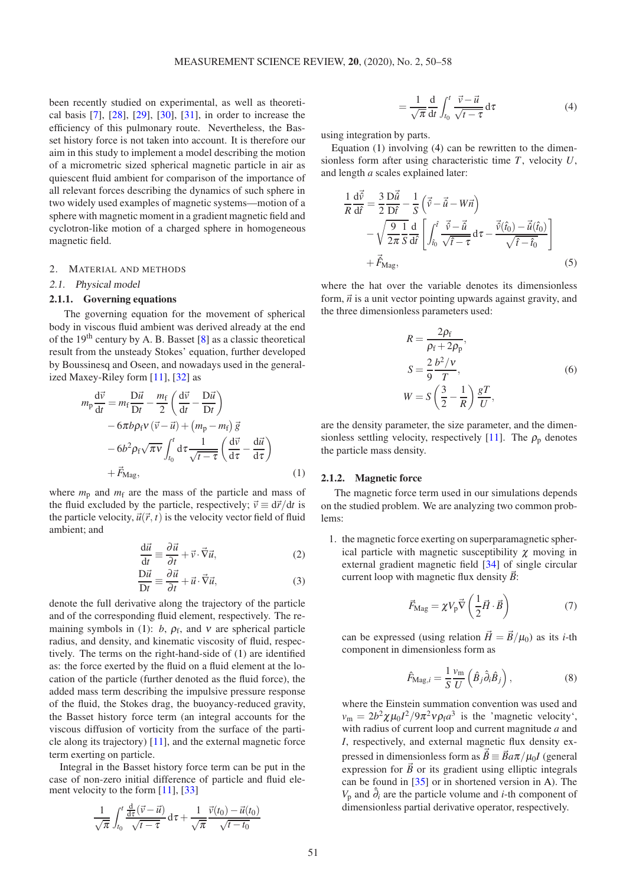been recently studied on experimental, as well as theoretical basis [\[7\]](#page-7-6), [\[28\]](#page-8-17), [\[29\]](#page-8-18), [\[30\]](#page-8-19), [\[31\]](#page-8-20), in order to increase the efficiency of this pulmonary route. Nevertheless, the Basset history force is not taken into account. It is therefore our aim in this study to implement a model describing the motion of a micrometric sized spherical magnetic particle in air as quiescent fluid ambient for comparison of the importance of all relevant forces describing the dynamics of such sphere in two widely used examples of magnetic systems—motion of a sphere with magnetic moment in a gradient magnetic field and cyclotron-like motion of a charged sphere in homogeneous magnetic field.

# <span id="page-1-4"></span>2. MATERIAL AND METHODS

# 2.1. Physical model

# 2.1.1. Governing equations

The governing equation for the movement of spherical body in viscous fluid ambient was derived already at the end of the 19th century by A. B. Basset [\[8\]](#page-7-7) as a classic theoretical result from the unsteady Stokes' equation, further developed by Boussinesq and Oseen, and nowadays used in the generalized Maxey-Riley form [\[11\]](#page-8-0), [\[32\]](#page-8-21) as

$$
m_{\rm p} \frac{d\vec{v}}{dt} = m_{\rm f} \frac{D\vec{u}}{Dt} - \frac{m_{\rm f}}{2} \left( \frac{d\vec{v}}{dt} - \frac{D\vec{u}}{Dt} \right)
$$

$$
- 6\pi b \rho_{\rm f} v \left( \vec{v} - \vec{u} \right) + \left( m_{\rm p} - m_{\rm f} \right) \vec{g}
$$

$$
- 6b^2 \rho_{\rm f} \sqrt{\pi v} \int_{t_0}^t d\tau \frac{1}{\sqrt{t - \tau}} \left( \frac{d\vec{v}}{d\tau} - \frac{d\vec{u}}{d\tau} \right)
$$

$$
+ \vec{F}_{\rm Mag}, \qquad (1)
$$

where  $m_p$  and  $m_f$  are the mass of the particle and mass of the fluid excluded by the particle, respectively;  $\vec{v} \equiv d\vec{r}/dt$  is the particle velocity,  $\vec{u}(\vec{r}, t)$  is the velocity vector field of fluid ambient; and

$$
\frac{\mathrm{d}\vec{u}}{\mathrm{d}t} \equiv \frac{\partial \vec{u}}{\partial t} + \vec{v} \cdot \vec{\nabla}\vec{u},\tag{2}
$$

$$
\frac{\mathcal{D}\vec{u}}{\mathcal{D}t} \equiv \frac{\partial \vec{u}}{\partial t} + \vec{u} \cdot \vec{\nabla}\vec{u},\tag{3}
$$

denote the full derivative along the trajectory of the particle and of the corresponding fluid element, respectively. The re-maining symbols in [\(1\)](#page-1-0):  $b$ ,  $\rho_f$ , and  $v$  are spherical particle radius, and density, and kinematic viscosity of fluid, respectively. The terms on the right-hand-side of [\(1\)](#page-1-0) are identified as: the force exerted by the fluid on a fluid element at the location of the particle (further denoted as the fluid force), the added mass term describing the impulsive pressure response of the fluid, the Stokes drag, the buoyancy-reduced gravity, the Basset history force term (an integral accounts for the viscous diffusion of vorticity from the surface of the particle along its trajectory) [\[11\]](#page-8-0), and the external magnetic force term exerting on particle.

Integral in the Basset history force term can be put in the case of non-zero initial difference of particle and fluid element velocity to the form  $[11]$ ,  $[33]$ 

$$
\frac{1}{\sqrt{\pi}}\int_{t_0}^t \frac{\frac{d}{d\tau}(\vec{v}-\vec{u})}{\sqrt{t-\tau}}\,d\tau + \frac{1}{\sqrt{\pi}}\frac{\vec{v}(t_0)-\vec{u}(t_0)}{\sqrt{t-t_0}}
$$

<span id="page-1-1"></span>
$$
=\frac{1}{\sqrt{\pi}}\frac{d}{dt}\int_{t_0}^t \frac{\vec{v}-\vec{u}}{\sqrt{t-\tau}}d\tau
$$
\n(4)

using integration by parts.

Equation [\(1\)](#page-1-0) involving [\(4\)](#page-1-1) can be rewritten to the dimensionless form after using characteristic time *T*, velocity *U*, and length *a* scales explained later:

$$
\frac{1}{R}\frac{d\vec{\hat{v}}}{d\hat{t}} = \frac{3}{2}\frac{D\vec{\hat{u}}}{D\hat{t}} - \frac{1}{S}\left(\vec{\hat{v}} - \vec{\hat{u}} - W\vec{n}\right) \n- \sqrt{\frac{9}{2\pi}}\frac{1}{S}\frac{d}{d\hat{t}}\left[\int_{\hat{t}_0}^{\hat{t}} \frac{\vec{v} - \vec{\hat{u}}}{\sqrt{\hat{t} - \tau}} d\tau - \frac{\vec{v}(\hat{t}_0) - \vec{\hat{u}}(\hat{t}_0)}{\sqrt{\hat{t} - \hat{t}_0}}\right] \n+ \vec{F}_{\text{Mag}},
$$
\n(5)

where the hat over the variable denotes its dimensionless form,  $\vec{n}$  is a unit vector pointing upwards against gravity, and the three dimensionless parameters used:

<span id="page-1-3"></span>
$$
R = \frac{2\rho_f}{\rho_f + 2\rho_p},
$$
  
\n
$$
S = \frac{2}{9} \frac{b^2 / v}{T},
$$
  
\n
$$
W = S \left(\frac{3}{2} - \frac{1}{R}\right) \frac{gT}{U},
$$
\n(6)

are the density parameter, the size parameter, and the dimen-sionless settling velocity, respectively [\[11\]](#page-8-0). The  $\rho_p$  denotes the particle mass density.

# <span id="page-1-0"></span>2.1.2. Magnetic force

The magnetic force term used in our simulations depends on the studied problem. We are analyzing two common problems:

<span id="page-1-2"></span>1. the magnetic force exerting on superparamagnetic spherical particle with magnetic susceptibility  $\chi$  moving in external gradient magnetic field [\[34\]](#page-8-23) of single circular current loop with magnetic flux density  $\vec{B}$ :

<span id="page-1-5"></span>
$$
\vec{F}_{\text{Mag}} = \chi V_{\text{p}} \vec{\nabla} \left( \frac{1}{2} \vec{H} \cdot \vec{B} \right) \tag{7}
$$

can be expressed (using relation  $\vec{H} = \vec{B}/\mu_0$ ) as its *i*-th component in dimensionless form as

$$
\hat{F}_{\text{Mag},i} = \frac{1}{S} \frac{v_{\text{m}}}{U} \left( \hat{B}_j \hat{\partial}_i \hat{B}_j \right),\tag{8}
$$

where the Einstein summation convention was used and  $v_{\rm m} = 2b^2 \chi \mu_0 I^2 / 9\pi^2 v \rho_{\rm f} a^3$  is the 'magnetic velocity', with radius of current loop and current magnitude *a* and *I*, respectively, and external magnetic flux density expressed in dimensionless form as  $\vec{\hat{B}} \equiv \vec{B}a\pi/\mu_0 I$  (general expression for  $\vec{B}$  or its gradient using elliptic integrals can be found in [\[35\]](#page-8-24) or in shortened version in [A\)](#page-6-0). The  $V_p$  and  $\hat{\partial}_i$  are the particle volume and *i*-th component of dimensionless partial derivative operator, respectively.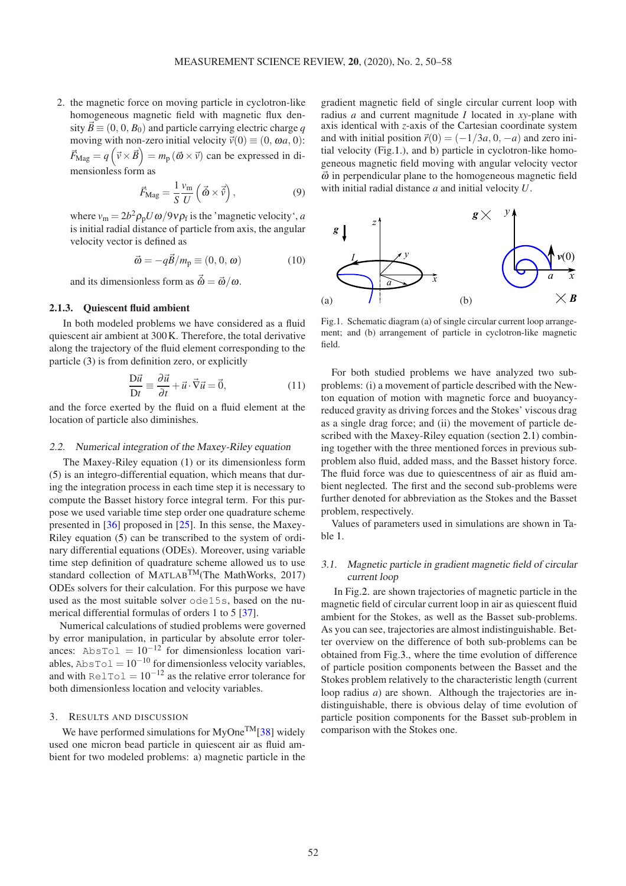2. the magnetic force on moving particle in cyclotron-like homogeneous magnetic field with magnetic flux density  $\vec{B} \equiv (0, 0, B_0)$  and particle carrying electric charge *q* moving with non-zero initial velocity  $\vec{v}(0) \equiv (0, \omega a, 0)$ :  $\vec{F}_{\text{Mag}} = q\left(\vec{v} \times \vec{B}\right) = m_{\text{p}}\left(\vec{\omega} \times \vec{v}\right)$  can be expressed in dimensionless form as

$$
\vec{F}_{\text{Mag}} = \frac{1}{S} \frac{v_{\text{m}}}{U} \left( \vec{\hat{\omega}} \times \vec{\hat{v}} \right),\tag{9}
$$

where  $v_{\rm m} = 2b^2 \rho_{\rm p} U \omega / 9v \rho_{\rm f}$  is the 'magnetic velocity', *a* is initial radial distance of particle from axis, the angular velocity vector is defined as

$$
\vec{\omega} = -q\vec{B}/m_{\rm p} \equiv (0, 0, \omega) \tag{10}
$$

and its dimensionless form as  $\vec{\hat{\omega}} = \vec{\omega}/\omega$ .

#### 2.1.3. Quiescent fluid ambient

In both modeled problems we have considered as a fluid quiescent air ambient at 300K. Therefore, the total derivative along the trajectory of the fluid element corresponding to the particle [\(3\)](#page-1-2) is from definition zero, or explicitly

$$
\frac{\mathcal{D}\vec{u}}{\mathcal{D}t} \equiv \frac{\partial \vec{u}}{\partial t} + \vec{u} \cdot \vec{\nabla}\vec{u} = \vec{0},\tag{11}
$$

and the force exerted by the fluid on a fluid element at the location of particle also diminishes.

# 2.2. Numerical integration of the Maxey-Riley equation

The Maxey-Riley equation [\(1\)](#page-1-0) or its dimensionless form [\(5\)](#page-1-3) is an integro-differential equation, which means that during the integration process in each time step it is necessary to compute the Basset history force integral term. For this purpose we used variable time step order one quadrature scheme presented in [\[36\]](#page-8-25) proposed in [\[25\]](#page-8-14). In this sense, the Maxey-Riley equation [\(5\)](#page-1-3) can be transcribed to the system of ordinary differential equations (ODEs). Moreover, using variable time step definition of quadrature scheme allowed us to use standard collection of MATLABTM(The MathWorks, 2017) ODEs solvers for their calculation. For this purpose we have used as the most suitable solver ode15s, based on the numerical differential formulas of orders 1 to 5 [\[37\]](#page-8-26).

Numerical calculations of studied problems were governed by error manipulation, in particular by absolute error tolerances: AbsTol =  $10^{-12}$  for dimensionless location variables, AbsTol =  $10^{-10}$  for dimensionless velocity variables, and with RelTol =  $10^{-12}$  as the relative error tolerance for both dimensionless location and velocity variables.

#### 3. RESULTS AND DISCUSSION

We have performed simulations for  $MyOne^{TM}[38]$  $MyOne^{TM}[38]$  widely used one micron bead particle in quiescent air as fluid ambient for two modeled problems: a) magnetic particle in the gradient magnetic field of single circular current loop with radius *a* and current magnitude *I* located in *xy*-plane with axis identical with *z*-axis of the Cartesian coordinate system and with initial position  $\vec{r}(0) = (-1/3a, 0, -a)$  and zero initial velocity (Fig[.1.](#page-2-0)), and b) particle in cyclotron-like homogeneous magnetic field moving with angular velocity vector  $\vec{\omega}$  in perpendicular plane to the homogeneous magnetic field with initial radial distance *a* and initial velocity *U*.

<span id="page-2-0"></span>

Fig.1. Schematic diagram (a) of single circular current loop arrangement; and (b) arrangement of particle in cyclotron-like magnetic field.

For both studied problems we have analyzed two subproblems: (i) a movement of particle described with the Newton equation of motion with magnetic force and buoyancyreduced gravity as driving forces and the Stokes' viscous drag as a single drag force; and (ii) the movement of particle described with the Maxey-Riley equation (section [2.1\)](#page-1-4) combining together with the three mentioned forces in previous subproblem also fluid, added mass, and the Basset history force. The fluid force was due to quiescentness of air as fluid ambient neglected. The first and the second sub-problems were further denoted for abbreviation as the Stokes and the Basset problem, respectively.

Values of parameters used in simulations are shown in Table [1.](#page-3-0)

# <span id="page-2-1"></span>3.1. Magnetic particle in gradient magnetic field of circular current loop

In Fig[.2.](#page-3-1) are shown trajectories of magnetic particle in the magnetic field of circular current loop in air as quiescent fluid ambient for the Stokes, as well as the Basset sub-problems. As you can see, trajectories are almost indistinguishable. Better overview on the difference of both sub-problems can be obtained from Fig[.3.](#page-3-2), where the time evolution of difference of particle position components between the Basset and the Stokes problem relatively to the characteristic length (current loop radius *a*) are shown. Although the trajectories are indistinguishable, there is obvious delay of time evolution of particle position components for the Basset sub-problem in comparison with the Stokes one.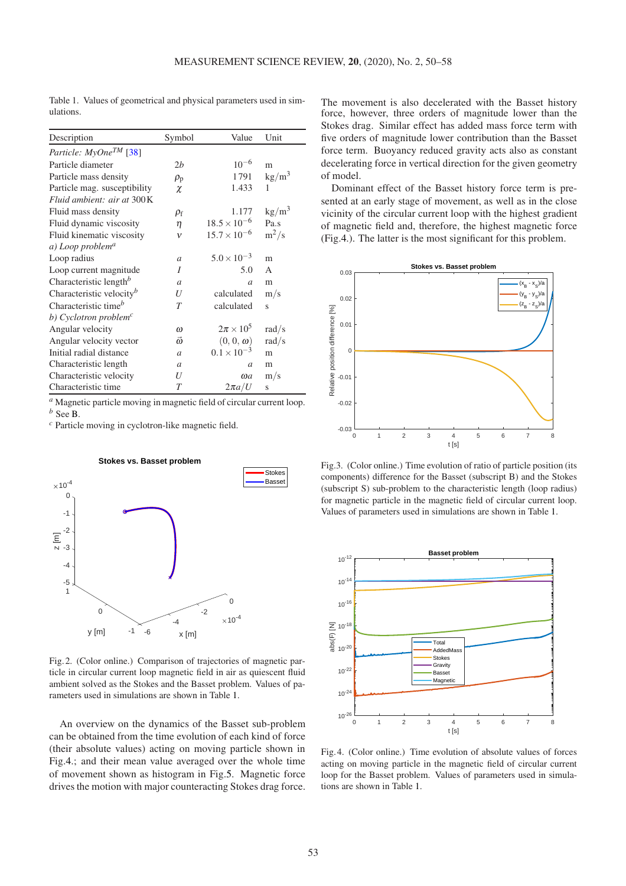| Description                          | Symbol<br>Value |                       | Unit            |
|--------------------------------------|-----------------|-----------------------|-----------------|
| Particle: MyOne <sup>TM</sup> [38]   |                 |                       |                 |
| Particle diameter                    | 2b              | $10^{-6}$             | m               |
| Particle mass density                | $\rho_{\rm p}$  | 1791                  | $\text{kg/m}^3$ |
| Particle mag. susceptibility         | χ               | 1.433                 | 1               |
| Fluid ambient: air at 300K           |                 |                       |                 |
| Fluid mass density                   | $\rho_{\rm f}$  | 1.177                 | $\text{kg/m}^3$ |
| Fluid dynamic viscosity              | η               | $18.5 \times 10^{-6}$ | Pa.s            |
| Fluid kinematic viscosity            | v               | $15.7 \times 10^{-6}$ | $m^2/s$         |
| a) Loop problem <sup>a</sup>         |                 |                       |                 |
| Loop radius                          | $\mathfrak a$   | $5.0 \times 10^{-3}$  | m               |
| Loop current magnitude               | I               | 5.0                   | $\mathsf{A}$    |
| Characteristic length <sup>b</sup>   | $\overline{a}$  | $\overline{a}$        | m               |
| Characteristic velocity <sup>b</sup> | U               | calculated            | m/s             |
| Characteristic time <sup>b</sup>     | T               | calculated            | S               |
| b) Cyclotron problem <sup>c</sup>    |                 |                       |                 |
| Angular velocity                     | $\omega$        | $2\pi \times 10^5$    | rad/s           |
| Angular velocity vector              | ō               | $(0,0,\omega)$        | rad/s           |
| Initial radial distance              | $\mathfrak{a}$  | $0.1 \times 10^{-3}$  | m               |
| Characteristic length                | $\mathfrak{a}$  | a                     | m               |
| Characteristic velocity              | U               | $\omega$ <i>a</i>     | m/s             |
| Characteristic time                  | T               | $2\pi a/U$            | S               |

<span id="page-3-0"></span>Table 1. Values of geometrical and physical parameters used in simulations.

*<sup>a</sup>* Magnetic particle moving in magnetic field of circular current loop. *<sup>b</sup>* See [B.](#page-7-10)

<span id="page-3-1"></span>*<sup>c</sup>* Particle moving in cyclotron-like magnetic field.

**Stokes vs. Basset problem**

-6 -4 -2  $\Omega$ x [m]  $\times$ 10<sup>-4</sup> -1  $\Omega$ 1 y [m] -5 -4 -3 -2 -1  $\mathbf 0$ z [m]  $\times 10^{-4}$ Stokes Basset

Fig. 2. (Color online.) Comparison of trajectories of magnetic particle in circular current loop magnetic field in air as quiescent fluid ambient solved as the Stokes and the Basset problem. Values of parameters used in simulations are shown in Table [1.](#page-3-0)

An overview on the dynamics of the Basset sub-problem can be obtained from the time evolution of each kind of force (their absolute values) acting on moving particle shown in Fig[.4.](#page-3-3); and their mean value averaged over the whole time of movement shown as histogram in Fig[.5.](#page-4-0) Magnetic force drives the motion with major counteracting Stokes drag force. The movement is also decelerated with the Basset history force, however, three orders of magnitude lower than the Stokes drag. Similar effect has added mass force term with five orders of magnitude lower contribution than the Basset force term. Buoyancy reduced gravity acts also as constant decelerating force in vertical direction for the given geometry of model.

Dominant effect of the Basset history force term is presented at an early stage of movement, as well as in the close vicinity of the circular current loop with the highest gradient of magnetic field and, therefore, the highest magnetic force (Fig[.4.](#page-3-3)). The latter is the most significant for this problem.

<span id="page-3-2"></span>

Fig.3. (Color online.) Time evolution of ratio of particle position (its components) difference for the Basset (subscript B) and the Stokes (subscript S) sub-problem to the characteristic length (loop radius) for magnetic particle in the magnetic field of circular current loop. Values of parameters used in simulations are shown in Table [1.](#page-3-0)

<span id="page-3-3"></span>

Fig. 4. (Color online.) Time evolution of absolute values of forces acting on moving particle in the magnetic field of circular current loop for the Basset problem. Values of parameters used in simulations are shown in Table [1.](#page-3-0)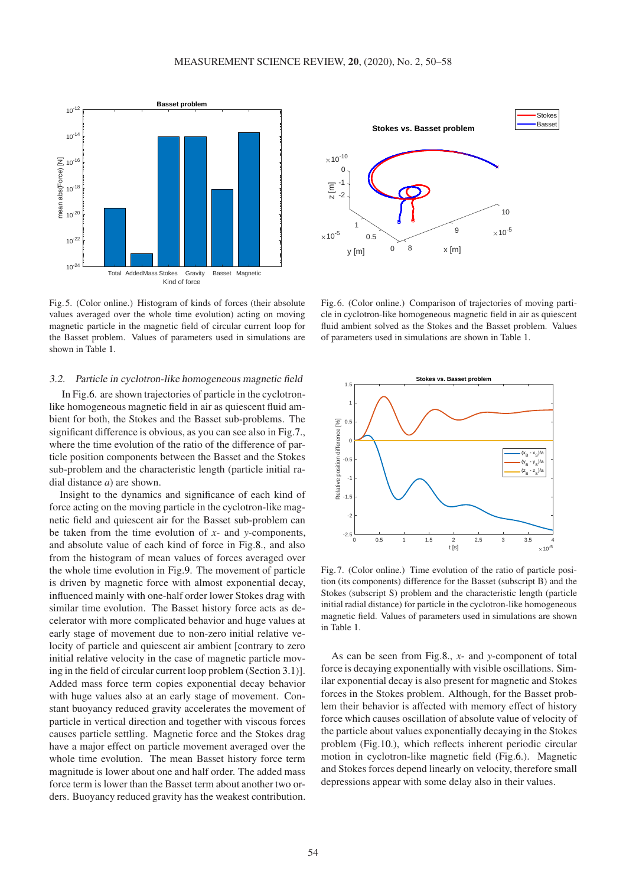<span id="page-4-0"></span>

Fig. 5. (Color online.) Histogram of kinds of forces (their absolute values averaged over the whole time evolution) acting on moving magnetic particle in the magnetic field of circular current loop for the Basset problem. Values of parameters used in simulations are shown in Table [1.](#page-3-0)

## 3.2. Particle in cyclotron-like homogeneous magnetic field

In Fig[.6.](#page-4-1) are shown trajectories of particle in the cyclotronlike homogeneous magnetic field in air as quiescent fluid ambient for both, the Stokes and the Basset sub-problems. The significant difference is obvious, as you can see also in Fig[.7.](#page-4-2), where the time evolution of the ratio of the difference of particle position components between the Basset and the Stokes sub-problem and the characteristic length (particle initial radial distance *a*) are shown.

Insight to the dynamics and significance of each kind of force acting on the moving particle in the cyclotron-like magnetic field and quiescent air for the Basset sub-problem can be taken from the time evolution of *x*- and *y*-components, and absolute value of each kind of force in Fig[.8.](#page-5-0), and also from the histogram of mean values of forces averaged over the whole time evolution in Fig[.9.](#page-5-1) The movement of particle is driven by magnetic force with almost exponential decay, influenced mainly with one-half order lower Stokes drag with similar time evolution. The Basset history force acts as decelerator with more complicated behavior and huge values at early stage of movement due to non-zero initial relative velocity of particle and quiescent air ambient [contrary to zero initial relative velocity in the case of magnetic particle moving in the field of circular current loop problem (Section [3.1\)](#page-2-1)]. Added mass force term copies exponential decay behavior with huge values also at an early stage of movement. Constant buoyancy reduced gravity accelerates the movement of particle in vertical direction and together with viscous forces causes particle settling. Magnetic force and the Stokes drag have a major effect on particle movement averaged over the whole time evolution. The mean Basset history force term magnitude is lower about one and half order. The added mass force term is lower than the Basset term about another two orders. Buoyancy reduced gravity has the weakest contribution.

<span id="page-4-1"></span>

Fig. 6. (Color online.) Comparison of trajectories of moving particle in cyclotron-like homogeneous magnetic field in air as quiescent fluid ambient solved as the Stokes and the Basset problem. Values of parameters used in simulations are shown in Table [1.](#page-3-0)

<span id="page-4-2"></span>

Fig. 7. (Color online.) Time evolution of the ratio of particle position (its components) difference for the Basset (subscript B) and the Stokes (subscript S) problem and the characteristic length (particle initial radial distance) for particle in the cyclotron-like homogeneous magnetic field. Values of parameters used in simulations are shown in Table [1.](#page-3-0)

As can be seen from Fig[.8.](#page-5-0), *x*- and *y*-component of total force is decaying exponentially with visible oscillations. Similar exponential decay is also present for magnetic and Stokes forces in the Stokes problem. Although, for the Basset problem their behavior is affected with memory effect of history force which causes oscillation of absolute value of velocity of the particle about values exponentially decaying in the Stokes problem (Fig[.10.](#page-5-2)), which reflects inherent periodic circular motion in cyclotron-like magnetic field (Fig[.6.](#page-4-1)). Magnetic and Stokes forces depend linearly on velocity, therefore small depressions appear with some delay also in their values.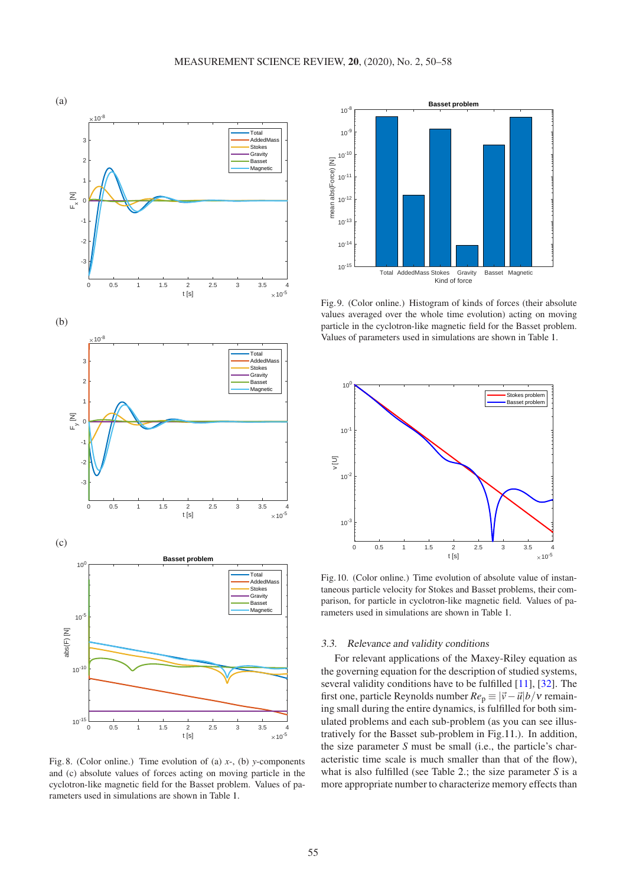<span id="page-5-0"></span>

Fig. 8. (Color online.) Time evolution of (a) *x*-, (b) *y*-components and (c) absolute values of forces acting on moving particle in the cyclotron-like magnetic field for the Basset problem. Values of parameters used in simulations are shown in Table [1.](#page-3-0)

<span id="page-5-1"></span>

Fig. 9. (Color online.) Histogram of kinds of forces (their absolute values averaged over the whole time evolution) acting on moving particle in the cyclotron-like magnetic field for the Basset problem. Values of parameters used in simulations are shown in Table [1.](#page-3-0)

<span id="page-5-2"></span>

Fig.10. (Color online.) Time evolution of absolute value of instantaneous particle velocity for Stokes and Basset problems, their comparison, for particle in cyclotron-like magnetic field. Values of parameters used in simulations are shown in Table [1.](#page-3-0)

#### 3.3. Relevance and validity conditions

For relevant applications of the Maxey-Riley equation as the governing equation for the description of studied systems, several validity conditions have to be fulfilled [\[11\]](#page-8-0), [\[32\]](#page-8-21). The first one, particle Reynolds number  $Re_p \equiv |\vec{v} - \vec{u}|/v$  remaining small during the entire dynamics, is fulfilled for both simulated problems and each sub-problem (as you can see illustratively for the Basset sub-problem in Fig[.11.](#page-7-11)). In addition, the size parameter *S* must be small (i.e., the particle's characteristic time scale is much smaller than that of the flow), what is also fulfilled (see Table [2.](#page-6-1); the size parameter *S* is a more appropriate number to characterize memory effects than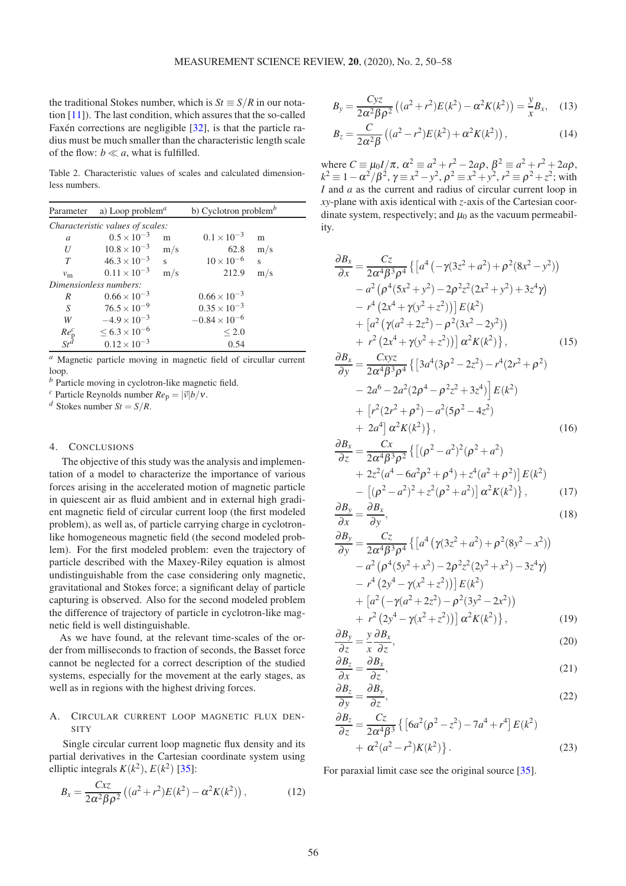the traditional Stokes number, which is  $St \equiv S/R$  in our notation [\[11\]](#page-8-0)). The last condition, which assures that the so-called Faxén corrections are negligible [\[32\]](#page-8-21), is that the particle radius must be much smaller than the characteristic length scale of the flow:  $b \ll a$ , what is fulfilled.

<span id="page-6-1"></span>Table 2. Characteristic values of scales and calculated dimensionless numbers.

| Parameter                        | a) Loop problem <sup><i>a</i></sup> |                         | b) Cyclotron problem $\mathbf{b}$ |                         |  |  |
|----------------------------------|-------------------------------------|-------------------------|-----------------------------------|-------------------------|--|--|
| Characteristic values of scales: |                                     |                         |                                   |                         |  |  |
| a                                | $0.5 \times 10^{-3}$                | m                       | $0.1 \times 10^{-3}$              | m                       |  |  |
| U                                | $10.8 \times 10^{-3}$               | m/s                     | 62.8                              | m/s                     |  |  |
| T                                | $46.3 \times 10^{-3}$               | $\overline{\mathbf{s}}$ | $10 \times 10^{-6}$               | $\overline{\mathbf{s}}$ |  |  |
| $v_{\rm m}$                      | $0.11 \times 10^{-3}$               | m/s                     | 212.9                             | m/s                     |  |  |
| Dimensionless numbers:           |                                     |                         |                                   |                         |  |  |
| R                                | $0.66 \times 10^{-3}$               |                         | $0.66 \times 10^{-3}$             |                         |  |  |
| S                                | $76.5 \times 10^{-9}$               |                         | $0.35 \times 10^{-3}$             |                         |  |  |
| W                                | $-4.9 \times 10^{-3}$               |                         | $-0.84 \times 10^{-6}$            |                         |  |  |
| $\frac{Re_{\rm p}^c}{St^d}$      | $\leq 6.3 \times 10^{-6}$           |                         | < 2.0                             |                         |  |  |
|                                  | $0.12 \times 10^{-3}$               |                         | 0.54                              |                         |  |  |

*<sup>a</sup>* Magnetic particle moving in magnetic field of circullar current loop.

*<sup>b</sup>* Particle moving in cyclotron-like magnetic field.

*c* Particle Reynolds number  $Re_p = |\vec{v}| b/v$ .

*d* Stokes number  $St = S/R$ .

# 4. CONCLUSIONS

The objective of this study was the analysis and implementation of a model to characterize the importance of various forces arising in the accelerated motion of magnetic particle in quiescent air as fluid ambient and in external high gradient magnetic field of circular current loop (the first modeled problem), as well as, of particle carrying charge in cyclotronlike homogeneous magnetic field (the second modeled problem). For the first modeled problem: even the trajectory of particle described with the Maxey-Riley equation is almost undistinguishable from the case considering only magnetic, gravitational and Stokes force; a significant delay of particle capturing is observed. Also for the second modeled problem the difference of trajectory of particle in cyclotron-like magnetic field is well distinguishable.

As we have found, at the relevant time-scales of the order from milliseconds to fraction of seconds, the Basset force cannot be neglected for a correct description of the studied systems, especially for the movement at the early stages, as well as in regions with the highest driving forces.

# <span id="page-6-0"></span>A. CIRCULAR CURRENT LOOP MAGNETIC FLUX DEN-**SITY**

Single circular current loop magnetic flux density and its partial derivatives in the Cartesian coordinate system using elliptic integrals  $K(k^2)$ ,  $E(k^2)$  [\[35\]](#page-8-24):

$$
B_x = \frac{Cx}{2\alpha^2 \beta \rho^2} \left( (a^2 + r^2) E(k^2) - \alpha^2 K(k^2) \right),
$$
 (12)

$$
B_y = \frac{Cyz}{2\alpha^2 \beta \rho^2} \left( (a^2 + r^2) E(k^2) - \alpha^2 K(k^2) \right) = \frac{y}{x} B_x, \quad (13)
$$

$$
B_z = \frac{C}{2\alpha^2 \beta} \left( (a^2 - r^2) E(k^2) + \alpha^2 K(k^2) \right),
$$
 (14)

where  $C \equiv \mu_0 I / \pi$ ,  $\alpha^2 \equiv a^2 + r^2 - 2a\rho$ ,  $\beta^2 \equiv a^2 + r^2 + 2a\rho$ ,  $k^2 \equiv 1 - \alpha^2/\beta^2$ ,  $\gamma \equiv x^2 - y^2$ ,  $\rho^2 \equiv x^2 + y^2$ ,  $r^2 \equiv \rho^2 + z^2$ ; with *I* and *a* as the current and radius of circular current loop in *xy*-plane with axis identical with *z*-axis of the Cartesian coordinate system, respectively; and  $\mu_0$  as the vacuum permeability.

$$
\frac{\partial B_x}{\partial x} = \frac{Cz}{2\alpha^4 \beta^3 \rho^4} \left\{ \left[ a^4 \left( -\gamma (3z^2 + a^2) + \rho^2 (8x^2 - y^2) \right) \right. \right. \\ \left. - a^2 \left( \rho^4 (5x^2 + y^2) - 2\rho^2 z^2 (2x^2 + y^2) + 3z^4 \gamma \right) \right. \\ \left. - r^4 \left( 2x^4 + \gamma (y^2 + z^2) \right) \right] E(k^2) \\ \left. + \left[ a^2 \left( \gamma (a^2 + 2z^2) - \rho^2 (3x^2 - 2y^2) \right) \right. \\ \left. + r^2 \left( 2x^4 + \gamma (y^2 + z^2) \right) \right] \alpha^2 K(k^2) \right\}, \qquad (15)
$$
\n
$$
\frac{\partial B_x}{\partial y} = \frac{Cxyz}{2\alpha^4 \beta^3 \rho^4} \left\{ \left[ 3a^4 (3\rho^2 - 2z^2) - r^4 (2r^2 + \rho^2) \right. \\ \left. - 2a^6 - 2a^2 (2\rho^4 - \rho^2 z^2 + 3z^4) \right] E(k^2) \right. \\ \left. + \left. \left[ r^2 (2r^2 + \rho^2) - a^2 (5\rho^2 - 4z^2) \right. \right. \\ \left. + 2a^4 \right] \alpha^2 K(k^2) \right\}, \qquad (16)
$$

$$
\frac{\partial B_x}{\partial z} = \frac{Cx}{2\alpha^4 \beta^3 \rho^2} \left\{ \left[ (\rho^2 - a^2)^2 (\rho^2 + a^2) \right. \\ + 2z^2 (a^4 - 6a^2 \rho^2 + \rho^4) + z^4 (a^2 + \rho^2) \right] E(k^2) \\ - \left[ (\rho^2 - a^2)^2 + z^2 (\rho^2 + a^2) \right] \alpha^2 K(k^2) \right\}, \tag{17}
$$
\n
$$
\partial B_y \quad \partial B_x \tag{18}
$$

$$
\frac{\partial \mathbf{D}_y}{\partial x} = \frac{\partial \mathbf{D}_x}{\partial y},\tag{18}
$$

$$
\frac{\partial B_y}{\partial y} = \frac{Cz}{2\alpha^4 \beta^3 \rho^4} \left\{ \left[ a^4 \left( \gamma (3z^2 + a^2) + \rho^2 (8y^2 - x^2) \right) - a^2 \left( \rho^4 (5y^2 + x^2) - 2\rho^2 z^2 (2y^2 + x^2) - 3z^4 \gamma \right) \right. \\ \left. - r^4 \left( 2y^4 - \gamma (x^2 + z^2) \right) \right] E(k^2) \\ \left. + \left[ a^2 \left( -\gamma (a^2 + 2z^2) - \rho^2 (3y^2 - 2x^2) \right) + r^2 \left( 2y^4 - \gamma (x^2 + z^2) \right) \right] \alpha^2 K(k^2) \right\}, \tag{19}
$$

$$
\frac{\partial B_y}{\partial z} = \frac{y}{x} \frac{\partial B_x}{\partial z},\tag{20}
$$

$$
\frac{\partial B_z}{\partial x} = \frac{\partial B_x}{\partial z},\tag{21}
$$

$$
\frac{\partial B_z}{\partial y} = \frac{\partial B_y}{\partial z},\tag{22}
$$

$$
\frac{\partial B_z}{\partial z} = \frac{Cz}{2\alpha^4 \beta^3} \left\{ \left[ 6a^2(\rho^2 - z^2) - 7a^4 + r^4 \right] E(k^2) + \alpha^2 (a^2 - r^2) K(k^2) \right\}.
$$
\n(23)

For paraxial limit case see the original source [\[35\]](#page-8-24).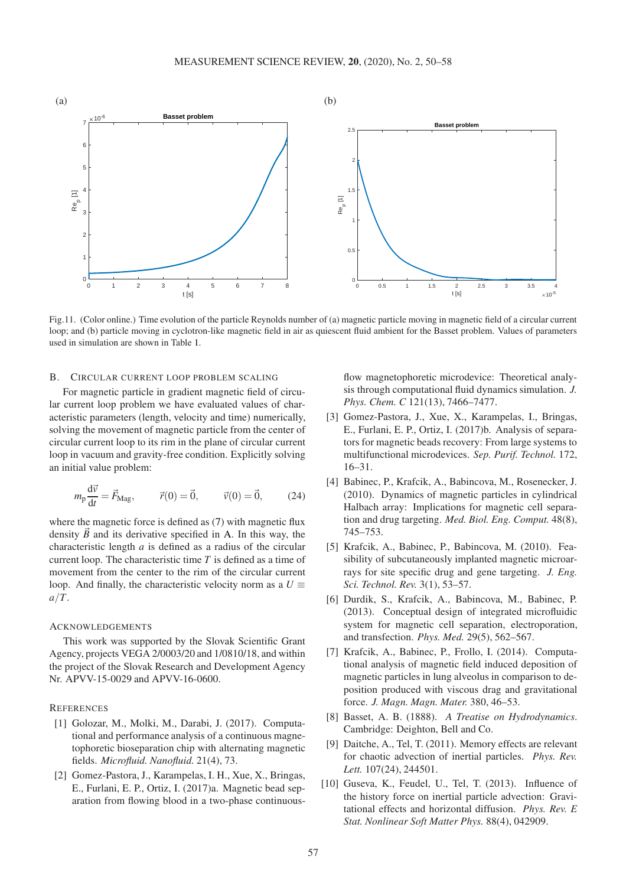<span id="page-7-11"></span>

Fig.11. (Color online.) Time evolution of the particle Reynolds number of (a) magnetic particle moving in magnetic field of a circular current loop; and (b) particle moving in cyclotron-like magnetic field in air as quiescent fluid ambient for the Basset problem. Values of parameters used in simulation are shown in Table [1.](#page-3-0)

# <span id="page-7-10"></span>B. CIRCULAR CURRENT LOOP PROBLEM SCALING

For magnetic particle in gradient magnetic field of circular current loop problem we have evaluated values of characteristic parameters (length, velocity and time) numerically, solving the movement of magnetic particle from the center of circular current loop to its rim in the plane of circular current loop in vacuum and gravity-free condition. Explicitly solving an initial value problem:

$$
m_p \frac{d\vec{v}}{dt} = \vec{F}_{\text{Mag}}, \qquad \vec{r}(0) = \vec{0}, \qquad \vec{v}(0) = \vec{0}, \qquad (24)
$$

where the magnetic force is defined as [\(7\)](#page-1-5) with magnetic flux density  $\vec{B}$  and its derivative specified in [A.](#page-6-0) In this way, the characteristic length *a* is defined as a radius of the circular current loop. The characteristic time *T* is defined as a time of movement from the center to the rim of the circular current loop. And finally, the characteristic velocity norm as a  $U \equiv$ *a*/*T*.

### **ACKNOWLEDGEMENTS**

This work was supported by the Slovak Scientific Grant Agency, projects VEGA 2/0003/20 and 1/0810/18, and within the project of the Slovak Research and Development Agency Nr. APVV-15-0029 and APVV-16-0600.

## <span id="page-7-0"></span>**REFERENCES**

- [1] Golozar, M., Molki, M., Darabi, J. (2017). Computational and performance analysis of a continuous magnetophoretic bioseparation chip with alternating magnetic fields. *Microfluid. Nanofluid.* 21(4), 73.
- <span id="page-7-1"></span>[2] Gomez-Pastora, J., Karampelas, I. H., Xue, X., Bringas, E., Furlani, E. P., Ortiz, I. (2017)a. Magnetic bead separation from flowing blood in a two-phase continuous-

flow magnetophoretic microdevice: Theoretical analysis through computational fluid dynamics simulation. *J. Phys. Chem. C* 121(13), 7466–7477.

- <span id="page-7-2"></span>[3] Gomez-Pastora, J., Xue, X., Karampelas, I., Bringas, E., Furlani, E. P., Ortiz, I. (2017)b. Analysis of separators for magnetic beads recovery: From large systems to multifunctional microdevices. *Sep. Purif. Technol.* 172, 16–31.
- <span id="page-7-3"></span>[4] Babinec, P., Krafcik, A., Babincova, M., Rosenecker, J. (2010). Dynamics of magnetic particles in cylindrical Halbach array: Implications for magnetic cell separation and drug targeting. *Med. Biol. Eng. Comput.* 48(8), 745–753.
- <span id="page-7-4"></span>[5] Krafcik, A., Babinec, P., Babincova, M. (2010). Feasibility of subcutaneously implanted magnetic microarrays for site specific drug and gene targeting. *J. Eng. Sci. Technol. Rev.* 3(1), 53–57.
- <span id="page-7-5"></span>[6] Durdik, S., Krafcik, A., Babincova, M., Babinec, P. (2013). Conceptual design of integrated microfluidic system for magnetic cell separation, electroporation, and transfection. *Phys. Med.* 29(5), 562–567.
- <span id="page-7-6"></span>[7] Krafcik, A., Babinec, P., Frollo, I. (2014). Computational analysis of magnetic field induced deposition of magnetic particles in lung alveolus in comparison to deposition produced with viscous drag and gravitational force. *J. Magn. Magn. Mater.* 380, 46–53.
- <span id="page-7-7"></span>[8] Basset, A. B. (1888). *A Treatise on Hydrodynamics*. Cambridge: Deighton, Bell and Co.
- <span id="page-7-8"></span>[9] Daitche, A., Tel, T. (2011). Memory effects are relevant for chaotic advection of inertial particles. *Phys. Rev. Lett.* 107(24), 244501.
- <span id="page-7-9"></span>[10] Guseva, K., Feudel, U., Tel, T. (2013). Influence of the history force on inertial particle advection: Gravitational effects and horizontal diffusion. *Phys. Rev. E Stat. Nonlinear Soft Matter Phys.* 88(4), 042909.